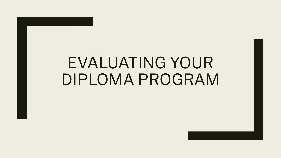# EVALUATING YOUR DIPLOMA PROGRAM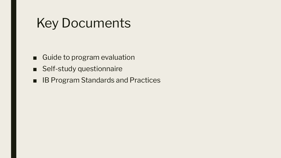### Key Documents

- Guide to program evaluation
- Self-study questionnaire
- IB Program Standards and Practices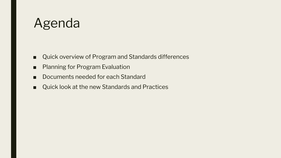### Agenda

- Quick overview of Program and Standards differences
- Planning for Program Evaluation
- Documents needed for each Standard
- Quick look at the new Standards and Practices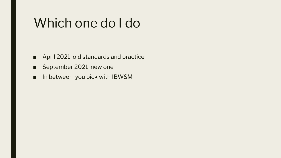### Which one do I do

- April 2021 old standards and practice
- September 2021 new one
- In between you pick with IBWSM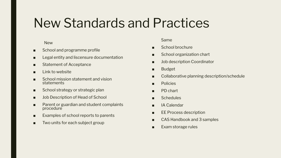### New Standards and Practices

#### **New**

- School and programme profile
- Legal entity and liscensure documentation
- Statement of Acceptance
- Link to website
- School mission statement and vision statements
- School strategy or strategic plan
- Job Description of Head of School
- Parent or guardian and student complaints procedure
- Examples of school reports to parents
- Two units for each subject group

#### Same

- School brochure
- School organization chart
- Job description Coordinator
- Budget
- Collaborative planning description/schedule
- Policies
- PD chart
- Schedules
- IA Calendar
- EE Process description
- CAS Handbook and 3 samples
- Exam storage rules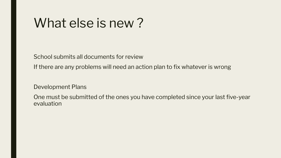### What else is new ?

School submits all documents for review

If there are any problems will need an action plan to fix whatever is wrong

Development Plans

One must be submitted of the ones you have completed since your last five-year evaluation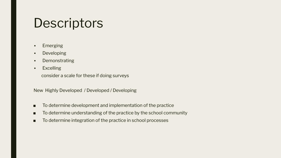### **Descriptors**

- Emerging
- Developing
- Demonstrating
- Excelling

consider a scale for these if doing surveys

New Highly Developed / Developed / Developing

- To determine development and implementation of the practice
- To determine understanding of the practice by the school community
- To determine integration of the practice in school processes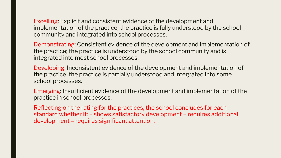Excelling: Explicit and consistent evidence of the development and implementation of the practice; the practice is fully understood by the school community and integrated into school processes.

Demonstrating: Consistent evidence of the development and implementation of the practice; the practice is understood by the school community and is integrated into most school processes.

Developing: Inconsistent evidence of the development and implementation of the practice ;the practice is partially understood and integrated into some school processes.

Emerging: Insufficient evidence of the development and implementation of the practice in school processes.

Reflecting on the rating for the practices, the school concludes for each standard whether it: – shows satisfactory development – requires additional development – requires significant attention.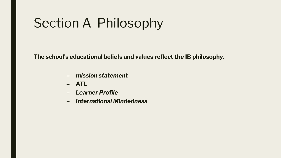## Section A Philosophy

**The school's educational beliefs and values reflect the IB philosophy.**

- *– mission statement*
- *– ATL*
- *– Learner Profile*
- *– International Mindedness*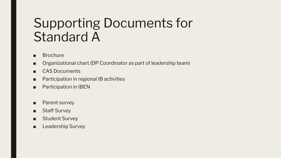### Supporting Documents for Standard A

- Brochure
- Organizational chart (DP Coordinator as part of leadership team)
- CAS Documents
- Participation in regional IB activities
- Participation in IBEN
- Parent survey
- Staff Survey
- Student Survey
- Leadership Survey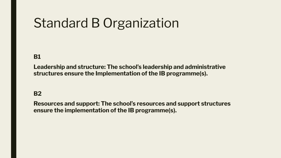## Standard B Organization

### **B1**

**Leadership and structure: The school's leadership and administrative structures ensure the Implementation of the IB programme(s).**

### **B2**

**Resources and support: The school's resources and support structures ensure the implementation of the IB programme(s).**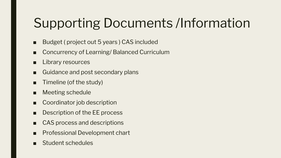# Supporting Documents /Information

- Budget ( project out 5 years ) CAS included
- Concurrency of Learning/ Balanced Curriculum
- Library resources
- Guidance and post secondary plans
- Timeline (of the study)
- Meeting schedule
- Coordinator job description
- Description of the EE process
- CAS process and descriptions
- **Professional Development chart**
- Student schedules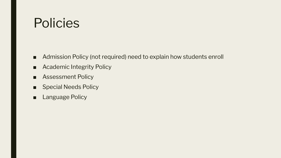### Policies

- Admission Policy (not required) need to explain how students enroll
- Academic Integrity Policy
- Assessment Policy
- Special Needs Policy
- Language Policy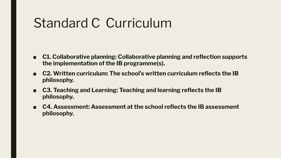### Standard C Curriculum

- **C1. Collaborative planning: Collaborative planning and reflection supports the implementation of the IB programme(s).**
- **■ C2. Written curriculum: The school's written curriculum reflects the IB philosophy.**
- **C3. Teaching and Learning: Teaching and learning reflects the IB philosophy.**
- C4. Assessment: Assessment at the school reflects the IB assessment **philosophy.**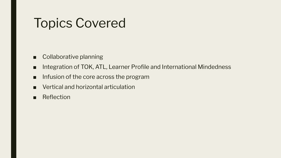## Topics Covered

- Collaborative planning
- Integration of TOK, ATL, Learner Profile and International Mindedness
- Infusion of the core across the program
- Vertical and horizontal articulation
- Reflection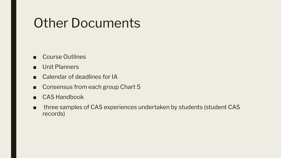### Other Documents

- Course Outlines
- Unit Planners
- Calendar of deadlines for IA
- Consensus from each group Chart 5
- CAS Handbook
- three samples of CAS experiences undertaken by students (student CAS records)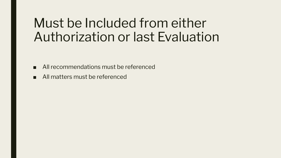### Must be Included from either Authorization or last Evaluation

- All recommendations must be referenced
- All matters must be referenced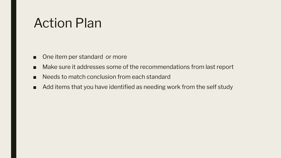### Action Plan

- One item per standard or more
- Make sure it addresses some of the recommendations from last report
- Needs to match conclusion from each standard
- Add items that you have identified as needing work from the self study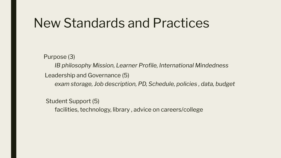### New Standards and Practices

Purpose (3)

*IB philosophy Mission, Learner Profile, International Mindedness*

Leadership and Governance (5)

*exam storage, Job description, PD, Schedule, policies , data, budget*

Student Support (5)

facilities, technology, library , advice on careers/college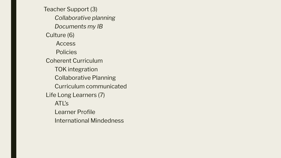Teacher Support (3) *Collaborative planning Documents my IB*  Culture (6) Access **Policies** Coherent Curriculum TOK integration Collaborative Planning Curriculum communicated Life Long Learners (7) ATL's Learner Profile International Mindedness